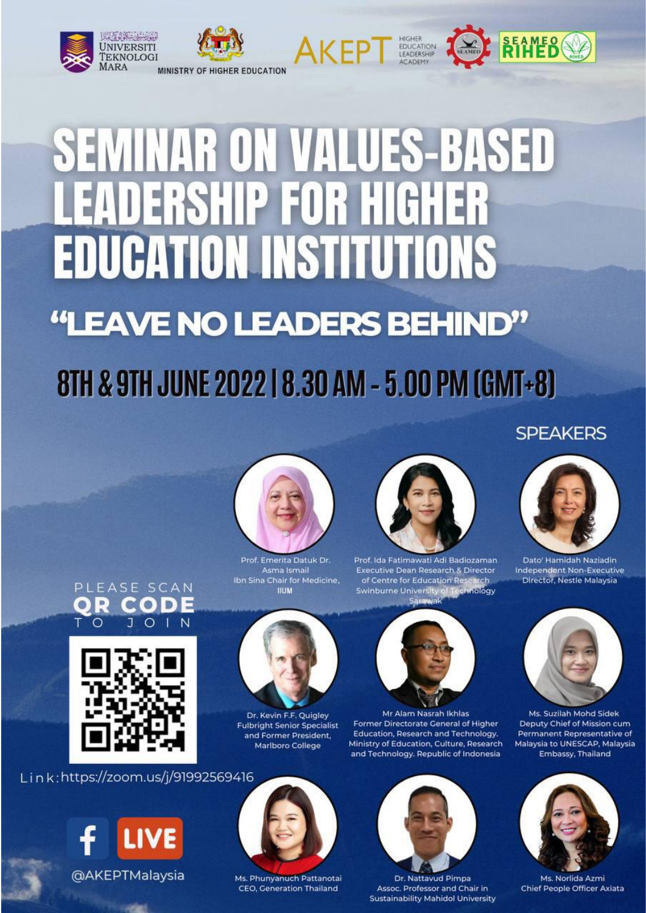

# **SEMINAR ON VALUES-BASED EADERSHIP FOR HIGHER EDUCATION INSTITUTIONS** "LEAVE NO LEADERS BEHIND"

## 8TH & 9TH JUNE 2022 | 8.30 AM - 5.00 PM (GMT+8)

### **SPEAKERS**



Prof. Emerita Datuk Dr. Asma Ismail Ibn Sina Chair for Medicine, **IILIM** 



Prof. Ida Fatimawati Adi Badiozaman Executive Dean Research & Director of Centre for Education Res irch **Swinburne University** Technology



Mr Alam Nasrah Ikhlas Former Directorate General of Higher Education, Research and Technology. Ministry of Education, Culture, Research and Technology. Republic of Indonesia



Dr. Nattavud Pimpa Assoc. Professor and Chair in **Sustainability Mahidol University** 



Dato' Hamidah Naziadin Independent Non-Executive Director, Nestle Malaysia



Ms. Suzilah Mohd Sidek Deputy Chief of Mission cum Permanent Representative of Malaysia to UNESCAP, Malaysia Embassy, Thailand



Ms. Norlida Azmi Chief People Officer Axiata





Link:https://zoom.us/j/91992569416





Dr. Kevin F.F. Quigley

**Fulbright Senior Specialist** 

and Former President,

Marlboro College

Ms. Phunyanuch Pattanotai CEO, Generation Thailand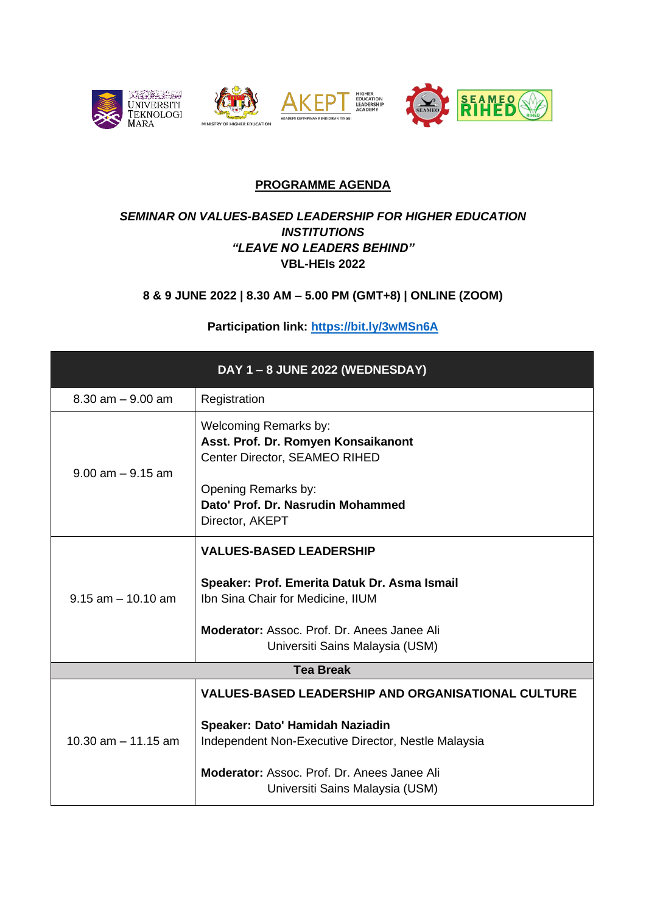

#### **PROGRAMME AGENDA**

#### *SEMINAR ON VALUES-BASED LEADERSHIP FOR HIGHER EDUCATION INSTITUTIONS "LEAVE NO LEADERS BEHIND"* **VBL-HEIs 2022**

#### **8 & 9 JUNE 2022 | 8.30 AM – 5.00 PM (GMT+8) | ONLINE (ZOOM)**

#### **Participation link:<https://bit.ly/3wMSn6A>**

| DAY 1-8 JUNE 2022 (WEDNESDAY) |                                                                                                                                                                                                                                              |  |
|-------------------------------|----------------------------------------------------------------------------------------------------------------------------------------------------------------------------------------------------------------------------------------------|--|
| $8.30$ am $-9.00$ am          | Registration                                                                                                                                                                                                                                 |  |
| $9.00$ am $-9.15$ am          | <b>Welcoming Remarks by:</b><br>Asst. Prof. Dr. Romyen Konsaikanont<br>Center Director, SEAMEO RIHED<br>Opening Remarks by:<br>Dato' Prof. Dr. Nasrudin Mohammed<br>Director, AKEPT                                                          |  |
| $9.15$ am $-10.10$ am         | <b>VALUES-BASED LEADERSHIP</b><br>Speaker: Prof. Emerita Datuk Dr. Asma Ismail<br>Ibn Sina Chair for Medicine, IIUM<br><b>Moderator:</b> Assoc. Prof. Dr. Anees Janee Ali<br>Universiti Sains Malaysia (USM)                                 |  |
| <b>Tea Break</b>              |                                                                                                                                                                                                                                              |  |
| 10.30 $am - 11.15 am$         | <b>VALUES-BASED LEADERSHIP AND ORGANISATIONAL CULTURE</b><br>Speaker: Dato' Hamidah Naziadin<br>Independent Non-Executive Director, Nestle Malaysia<br><b>Moderator:</b> Assoc. Prof. Dr. Anees Janee Ali<br>Universiti Sains Malaysia (USM) |  |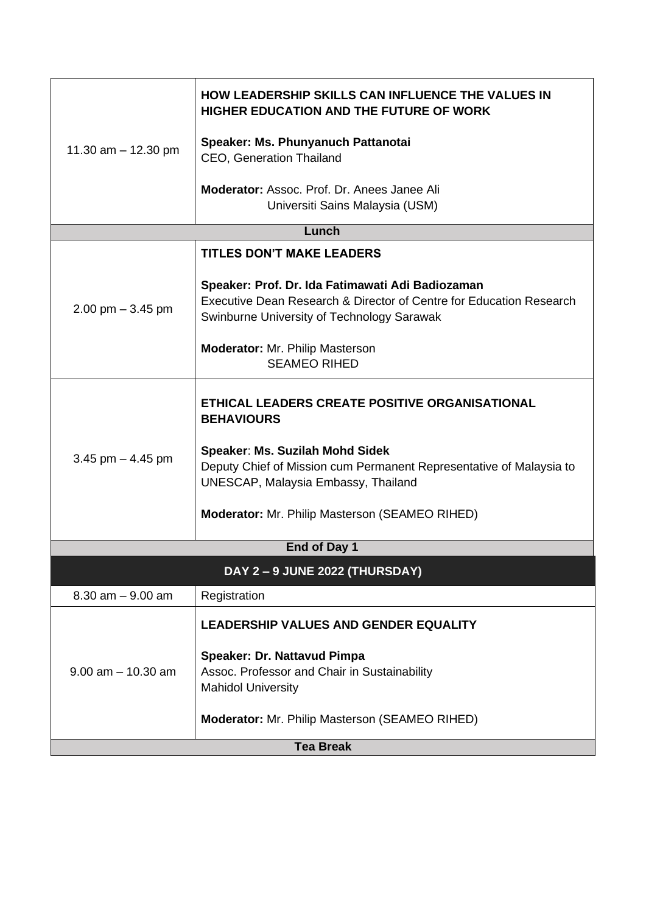| 11.30 $am - 12.30$ pm        | <b>HOW LEADERSHIP SKILLS CAN INFLUENCE THE VALUES IN</b><br><b>HIGHER EDUCATION AND THE FUTURE OF WORK</b>                                                                                                                             |  |
|------------------------------|----------------------------------------------------------------------------------------------------------------------------------------------------------------------------------------------------------------------------------------|--|
|                              | Speaker: Ms. Phunyanuch Pattanotai<br>CEO, Generation Thailand                                                                                                                                                                         |  |
|                              | Moderator: Assoc. Prof. Dr. Anees Janee Ali<br>Universiti Sains Malaysia (USM)                                                                                                                                                         |  |
| Lunch                        |                                                                                                                                                                                                                                        |  |
|                              | <b>TITLES DON'T MAKE LEADERS</b>                                                                                                                                                                                                       |  |
| $2.00$ pm $-3.45$ pm         | Speaker: Prof. Dr. Ida Fatimawati Adi Badiozaman<br>Executive Dean Research & Director of Centre for Education Research<br>Swinburne University of Technology Sarawak<br><b>Moderator:</b> Mr. Philip Masterson<br><b>SEAMEO RIHED</b> |  |
|                              |                                                                                                                                                                                                                                        |  |
| 3.45 pm $-$ 4.45 pm          | ETHICAL LEADERS CREATE POSITIVE ORGANISATIONAL<br><b>BEHAVIOURS</b>                                                                                                                                                                    |  |
|                              | <b>Speaker: Ms. Suzilah Mohd Sidek</b><br>Deputy Chief of Mission cum Permanent Representative of Malaysia to<br><b>UNESCAP, Malaysia Embassy, Thailand</b>                                                                            |  |
|                              | <b>Moderator:</b> Mr. Philip Masterson (SEAMEO RIHED)                                                                                                                                                                                  |  |
|                              | End of Day 1                                                                                                                                                                                                                           |  |
| DAY 2-9 JUNE 2022 (THURSDAY) |                                                                                                                                                                                                                                        |  |
| $8.30$ am $-9.00$ am         | Registration                                                                                                                                                                                                                           |  |
| $9.00$ am $-10.30$ am        | <b>LEADERSHIP VALUES AND GENDER EQUALITY</b>                                                                                                                                                                                           |  |
|                              | <b>Speaker: Dr. Nattavud Pimpa</b><br>Assoc. Professor and Chair in Sustainability<br><b>Mahidol University</b>                                                                                                                        |  |
|                              | Moderator: Mr. Philip Masterson (SEAMEO RIHED)                                                                                                                                                                                         |  |
| <b>Tea Break</b>             |                                                                                                                                                                                                                                        |  |